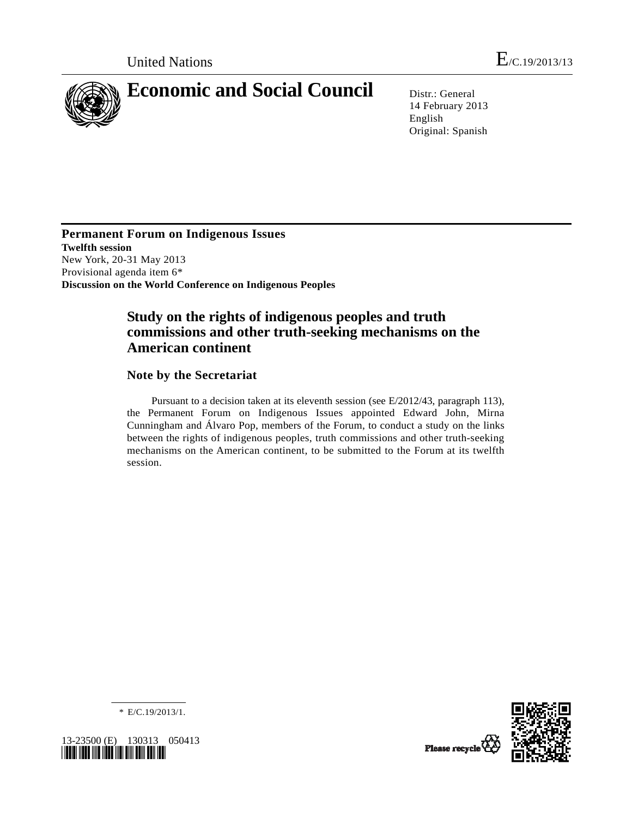

14 February 2013 English Original: Spanish

**Permanent Forum on Indigenous Issues Twelfth session**  New York, 20-31 May 2013 Provisional agenda item 6\* **Discussion on the World Conference on Indigenous Peoples** 

# **Study on the rights of indigenous peoples and truth commissions and other truth-seeking mechanisms on the American continent**

# **Note by the Secretariat**

 Pursuant to a decision taken at its eleventh session (see E/2012/43, paragraph 113), the Permanent Forum on Indigenous Issues appointed Edward John, Mirna Cunningham and Álvaro Pop, members of the Forum, to conduct a study on the links between the rights of indigenous peoples, truth commissions and other truth-seeking mechanisms on the American continent, to be submitted to the Forum at its twelfth session.



\* E/C.19/2013/1.

*\*1323500\** 



Please recycle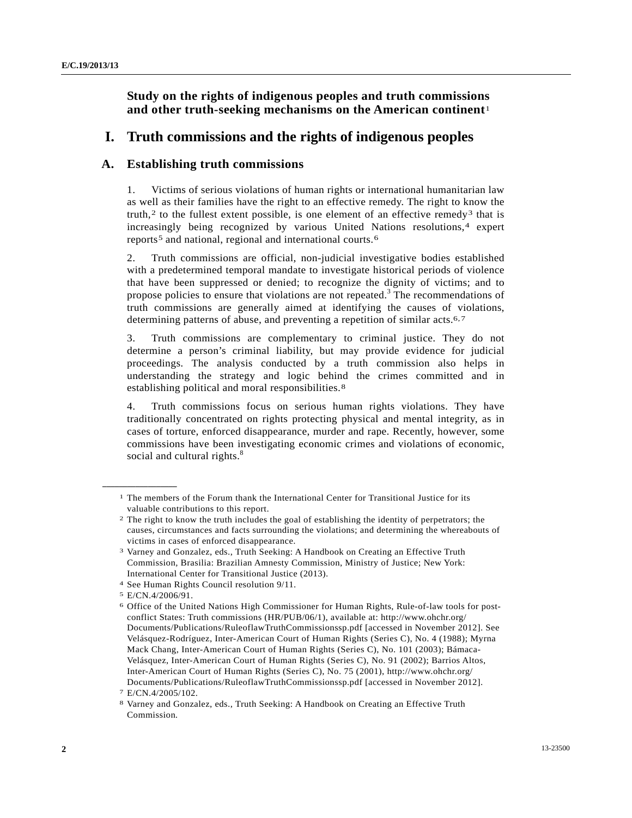# <span id="page-1-6"></span> **Study on the rights of indigenous peoples and truth commissions and other truth-seeking mechanisms on the American continent**[1](#page-1-0)

# **I. Truth commissions and the rights of indigenous peoples**

# **A. Establishing truth commissions**

1. Victims of serious violations of human rights or international humanitarian law as well as their families have the right to an effective remedy. The right to know the truth,<sup>[2](#page-1-1)</sup> to the fullest extent possible, is one element of an effective remedy<sup>3</sup> that is increasingly being recognized by various United Nations resolutions,<sup>4</sup> expert reports<sup>5</sup> and national, regional and international courts.<sup>[6](#page-1-5)</sup>

2. Truth commissions are official, non-judicial investigative bodies established with a predetermined temporal mandate to investigate historical periods of violence that have been suppressed or denied; to recognize the dignity of victims; and to propose policies to ensure that violations are not repeated.<sup>[3](#page-1-6)</sup> The recommendations of truth commissions are generally aimed at identifying the causes of violations, determining patterns of abuse, and preventing a repetition of similar acts.<sup>6,[7](#page-1-7)</sup>

3. Truth commissions are complementary to criminal justice. They do not determine a person's criminal liability, but may provide evidence for judicial proceedings. The analysis conducted by a truth commission also helps in understanding the strategy and logic behind the crimes committed and in establishing political and moral responsibilities.<sup>[8](#page-1-8)</sup>

4. Truth commissions focus on serious human rights violations. They have traditionally concentrated on rights protecting physical and mental integrity, as in cases of torture, enforced disappearance, murder and rape. Recently, however, some commissions have been investigating economic crimes and violations of economic, social and cultural rights.<sup>[8](#page-1-6)</sup>

<span id="page-1-0"></span><sup>1</sup> The members of the Forum thank the International Center for Transitional Justice for its valuable contributions to this report.

<span id="page-1-1"></span><sup>2</sup> The right to know the truth includes the goal of establishing the identity of perpetrators; the causes, circumstances and facts surrounding the violations; and determining the whereabouts of victims in cases of enforced disappearance.

<span id="page-1-2"></span><sup>3</sup> Varney and Gonzalez, eds., Truth Seeking: A Handbook on Creating an Effective Truth Commission*,* Brasilia: Brazilian Amnesty Commission, Ministry of Justice; New York: International Center for Transitional Justice (2013).

<span id="page-1-3"></span><sup>4</sup> See Human Rights Council resolution 9/11.

<span id="page-1-4"></span><sup>5</sup> E/CN.4/2006/91.

<span id="page-1-5"></span><sup>6</sup> Office of the United Nations High Commissioner for Human Rights, Rule-of-law tools for postconflict States: Truth commissions (HR/PUB/06/1), available at: http://www.ohchr.org/ Documents/Publications/RuleoflawTruthCommissionssp.pdf [accessed in November 2012]. See Velásquez-Rodríguez, Inter-American Court of Human Rights (Series C), No. 4 (1988); Myrna Mack Chang, Inter-American Court of Human Rights (Series C), No. 101 (2003); Bámaca-Velásquez, Inter-American Court of Human Rights (Series C), No. 91 (2002); Barrios Altos, Inter-American Court of Human Rights (Series C), No. 75 (2001), http://www.ohchr.org/ Documents/Publications/RuleoflawTruthCommissionssp.pdf [accessed in November 2012].

<sup>7</sup> E/CN.4/2005/102.

<span id="page-1-8"></span><span id="page-1-7"></span><sup>8</sup> Varney and Gonzalez, eds., Truth Seeking: A Handbook on Creating an Effective Truth Commission*.*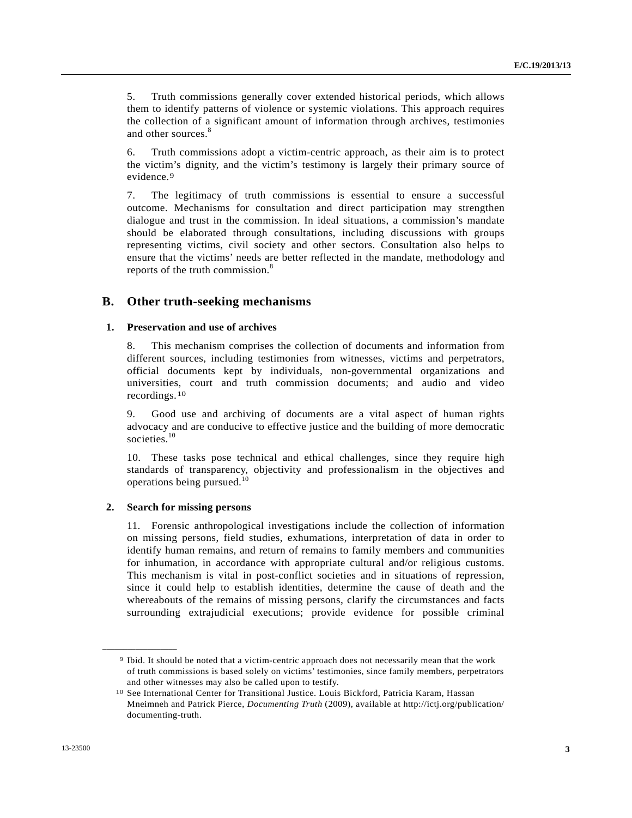<span id="page-2-2"></span>5. Truth commissions generally cover extended historical periods, which allows them to identify patterns of violence or systemic violations. This approach requires the collection of a significant amount of information through archives, testimonies and other sources.<sup>[8](#page-1-6)</sup>

6. Truth commissions adopt a victim-centric approach, as their aim is to protect the victim's dignity, and the victim's testimony is largely their primary source of evidence.<sup>[9](#page-2-0)</sup>

7. The legitimacy of truth commissions is essential to ensure a successful outcome. Mechanisms for consultation and direct participation may strengthen dialogue and trust in the commission. In ideal situations, a commission's mandate should be elaborated through consultations, including discussions with groups representing victims, civil society and other sectors. Consultation also helps to ensure that the victims' needs are better reflected in the mandate, methodology and reports of the truth commission.<sup>8</sup>

## **B. Other truth-seeking mechanisms**

### **1. Preservation and use of archives**

8. This mechanism comprises the collection of documents and information from different sources, including testimonies from witnesses, victims and perpetrators, official documents kept by individuals, non-governmental organizations and universities, court and truth commission documents; and audio and video recordings.[10](#page-2-1)

9. Good use and archiving of documents are a vital aspect of human rights advocacy and are conducive to effective justice and the building of more democratic societies.<sup>[10](#page-2-2)</sup>

10. These tasks pose technical and ethical challenges, since they require high standards of transparency, objectivity and professionalism in the objectives and operations being pursued.[10](#page-2-2)

### **2. Search for missing persons**

<span id="page-2-1"></span><span id="page-2-0"></span>**\_\_\_\_\_\_\_\_\_\_\_\_\_\_\_\_\_\_** 

11. Forensic anthropological investigations include the collection of information on missing persons, field studies, exhumations, interpretation of data in order to identify human remains, and return of remains to family members and communities for inhumation, in accordance with appropriate cultural and/or religious customs. This mechanism is vital in post-conflict societies and in situations of repression, since it could help to establish identities, determine the cause of death and the whereabouts of the remains of missing persons, clarify the circumstances and facts surrounding extrajudicial executions; provide evidence for possible criminal

<sup>9</sup> Ibid. It should be noted that a victim-centric approach does not necessarily mean that the work of truth commissions is based solely on victims' testimonies, since family members, perpetrators and other witnesses may also be called upon to testify.

<sup>10</sup> See International Center for Transitional Justice. Louis Bickford, Patricia Karam, Hassan Mneimneh and Patrick Pierce, *Documenting Truth* (2009), available at http://ictj.org/publication/ documenting-truth.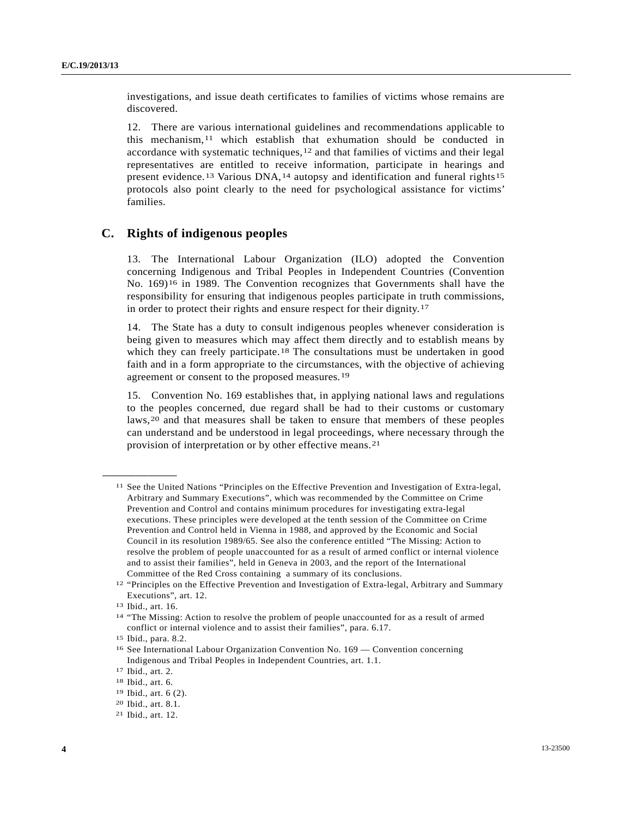investigations, and issue death certificates to families of victims whose remains are discovered.

12. There are various international guidelines and recommendations applicable to this mechanism,  $11$  $11$  which establish that exhumation should be conducted in accordance with systematic techniques,[1](#page-3-1)2 and that families of victims and their legal representatives are entitled to receive information, participate in hearings and present evidence.[1](#page-3-2)3 Various DNA,[1](#page-3-3)4 autopsy and identification and funeral rights[15](#page-3-4) protocols also point clearly to the need for psychological assistance for victims' families.

## **C. Rights of indigenous peoples**

13. The International Labour Organization (ILO) adopted the Convention concerning Indigenous and Tribal Peoples in Independent Countries (Convention No. 169)[16](#page-3-5) in 1989. The Convention recognizes that Governments shall have the responsibility for ensuring that indigenous peoples participate in truth commissions, in order to protect their rights and ensure respect for their dignity.[17](#page-3-6)

14. The State has a duty to consult indigenous peoples whenever consideration is being given to measures which may affect them directly and to establish means by which they can freely participate.<sup>[1](#page-3-7)8</sup> The consultations must be undertaken in good faith and in a form appropriate to the circumstances, with the objective of achieving agreement or consent to the proposed measures.[1](#page-3-8)9

15. Convention No. 169 establishes that, in applying national laws and regulations to the peoples concerned, due regard shall be had to their customs or customary laws,[2](#page-3-9)0 and that measures shall be taken to ensure that members of these peoples can understand and be understood in legal proceedings, where necessary through the provision of interpretation or by other effective means.[21](#page-3-10)

<span id="page-3-0"></span><sup>11</sup> See the United Nations "Principles on the Effective Prevention and Investigation of Extra-legal, Arbitrary and Summary Executions", which was recommended by the Committee on Crime Prevention and Control and contains minimum procedures for investigating extra-legal executions. These principles were developed at the tenth session of the Committee on Crime Prevention and Control held in Vienna in 1988, and approved by the Economic and Social Council in its resolution 1989/65. See also the conference entitled "The Missing: Action to resolve the problem of people unaccounted for as a result of armed conflict or internal violence and to assist their families", held in Geneva in 2003, and the report of the International Committee of the Red Cross containing a summary of its conclusions.

<span id="page-3-1"></span><sup>12 &</sup>quot;Principles on the Effective Prevention and Investigation of Extra-legal, Arbitrary and Summary Executions", art. 12.

<span id="page-3-2"></span><sup>13</sup> Ibid., art. 16.

<span id="page-3-3"></span><sup>14 &</sup>quot;The Missing: Action to resolve the problem of people unaccounted for as a result of armed conflict or internal violence and to assist their families", para. 6.17.

<span id="page-3-4"></span><sup>15</sup> Ibid., para. 8.2.

<span id="page-3-5"></span><sup>16</sup> See International Labour Organization Convention No. 169 — Convention concerning Indigenous and Tribal Peoples in Independent Countries, art. 1.1.

<span id="page-3-6"></span><sup>17</sup> Ibid., art. 2.

<span id="page-3-7"></span><sup>18</sup> Ibid., art. 6.

<span id="page-3-8"></span><sup>19</sup> Ibid., art. 6 (2).

<span id="page-3-9"></span><sup>20</sup> Ibid., art. 8.1.

<span id="page-3-10"></span><sup>21</sup> Ibid., art. 12.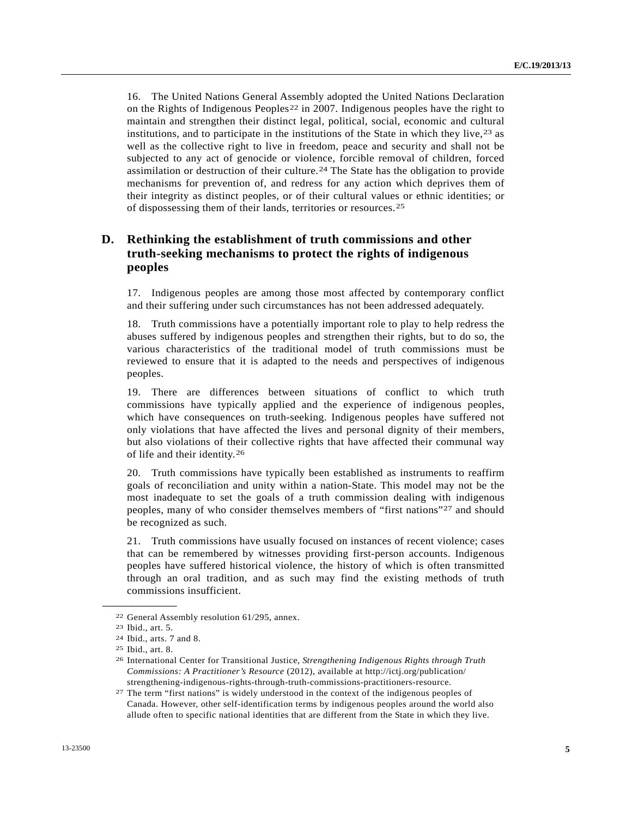16. The United Nations General Assembly adopted the United Nations Declaration on the Rights of Indigenous Peoples<sup>[22](#page-4-0)</sup> in 2007. Indigenous peoples have the right to maintain and strengthen their distinct legal, political, social, economic and cultural institutions, and to participate in the institutions of the State in which they live,  $2<sup>3</sup>$  as well as the collective right to live in freedom, peace and security and shall not be subjected to any act of genocide or violence, forcible removal of children, forced assimilation or destruction of their culture.[2](#page-4-2)4 The State has the obligation to provide mechanisms for prevention of, and redress for any action which deprives them of their integrity as distinct peoples, or of their cultural values or ethnic identities; or of dispossessing them of their lands, territories or resources.[25](#page-4-3)

# **D. Rethinking the establishment of truth commissions and other truth-seeking mechanisms to protect the rights of indigenous peoples**

17. Indigenous peoples are among those most affected by contemporary conflict and their suffering under such circumstances has not been addressed adequately.

18. Truth commissions have a potentially important role to play to help redress the abuses suffered by indigenous peoples and strengthen their rights, but to do so, the various characteristics of the traditional model of truth commissions must be reviewed to ensure that it is adapted to the needs and perspectives of indigenous peoples.

19. There are differences between situations of conflict to which truth commissions have typically applied and the experience of indigenous peoples, which have consequences on truth-seeking. Indigenous peoples have suffered not only violations that have affected the lives and personal dignity of their members, but also violations of their collective rights that have affected their communal way of life and their identity.[26](#page-4-4)

20. Truth commissions have typically been established as instruments to reaffirm goals of reconciliation and unity within a nation-State. This model may not be the most inadequate to set the goals of a truth commission dealing with indigenous peoples, many of who consider themselves members of "first nations"[2](#page-4-5)7 and should be recognized as such.

21. Truth commissions have usually focused on instances of recent violence; cases that can be remembered by witnesses providing first-person accounts. Indigenous peoples have suffered historical violence, the history of which is often transmitted through an oral tradition, and as such may find the existing methods of truth commissions insufficient.

<span id="page-4-1"></span><span id="page-4-0"></span><sup>22</sup> General Assembly resolution 61/295, annex. 23 Ibid., art. 5.

<span id="page-4-2"></span><sup>24</sup> Ibid., arts. 7 and 8.

<span id="page-4-3"></span><sup>25</sup> Ibid., art. 8.

<span id="page-4-4"></span><sup>26</sup> International Center for Transitional Justice, *Strengthening Indigenous Rights through Truth Commissions: A Practitioner's Resource* (2012), available at http://ictj.org/publication/ strengthening-indigenous-rights-through-truth-commissions-practitioners-resource.

<span id="page-4-5"></span><sup>27</sup> The term "first nations" is widely understood in the context of the indigenous peoples of Canada. However, other self-identification terms by indigenous peoples around the world also allude often to specific national identities that are different from the State in which they live.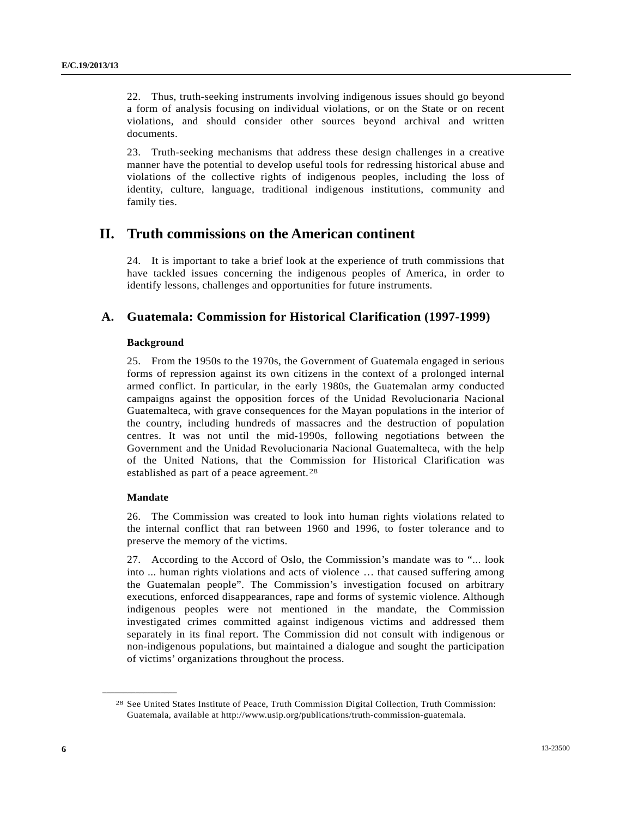22. Thus, truth-seeking instruments involving indigenous issues should go beyond a form of analysis focusing on individual violations, or on the State or on recent violations, and should consider other sources beyond archival and written documents.

23. Truth-seeking mechanisms that address these design challenges in a creative manner have the potential to develop useful tools for redressing historical abuse and violations of the collective rights of indigenous peoples, including the loss of identity, culture, language, traditional indigenous institutions, community and family ties.

# **II. Truth commissions on the American continent**

24. It is important to take a brief look at the experience of truth commissions that have tackled issues concerning the indigenous peoples of America, in order to identify lessons, challenges and opportunities for future instruments.

# **A. Guatemala: Commission for Historical Clarification (1997-1999)**

### **Background**

25. From the 1950s to the 1970s, the Government of Guatemala engaged in serious forms of repression against its own citizens in the context of a prolonged internal armed conflict. In particular, in the early 1980s, the Guatemalan army conducted campaigns against the opposition forces of the Unidad Revolucionaria Nacional Guatemalteca, with grave consequences for the Mayan populations in the interior of the country, including hundreds of massacres and the destruction of population centres. It was not until the mid-1990s, following negotiations between the Government and the Unidad Revolucionaria Nacional Guatemalteca, with the help of the United Nations, that the Commission for Historical Clarification was established as part of a peace agreement.<sup>[28](#page-5-0)</sup>

## **Mandate**

<span id="page-5-0"></span>**\_\_\_\_\_\_\_\_\_\_\_\_\_\_\_\_\_\_** 

26. The Commission was created to look into human rights violations related to the internal conflict that ran between 1960 and 1996, to foster tolerance and to preserve the memory of the victims.

27. According to the Accord of Oslo, the Commission's mandate was to "... look into ... human rights violations and acts of violence … that caused suffering among the Guatemalan people". The Commission's investigation focused on arbitrary executions, enforced disappearances, rape and forms of systemic violence. Although indigenous peoples were not mentioned in the mandate, the Commission investigated crimes committed against indigenous victims and addressed them separately in its final report. The Commission did not consult with indigenous or non-indigenous populations, but maintained a dialogue and sought the participation of victims' organizations throughout the process.

<sup>28</sup> See United States Institute of Peace, Truth Commission Digital Collection, Truth Commission: Guatemala, available at http://www.usip.org/publications/truth-commission-guatemala.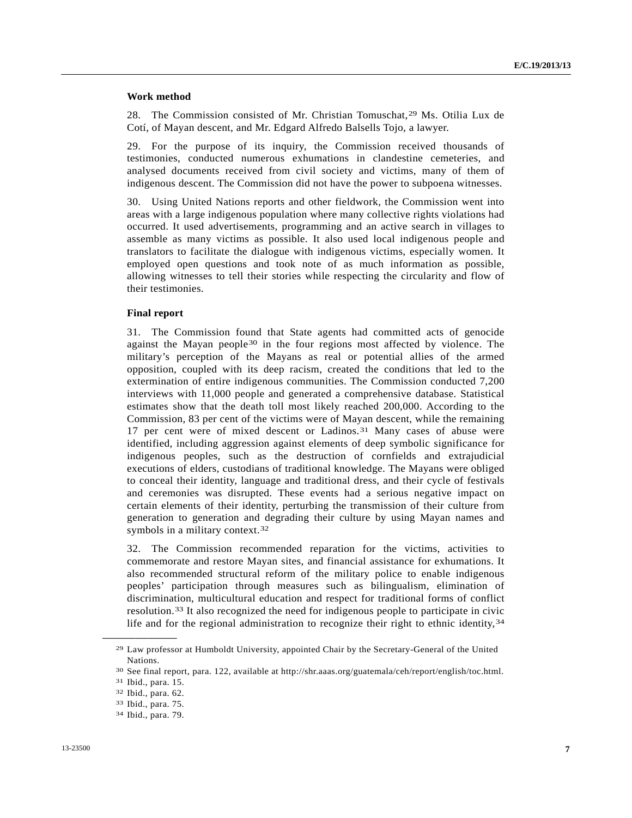### **Work method**

28. The Commission consisted of Mr. Christian Tomuschat,[2](#page-6-0)9 Ms. Otilia Lux de Cotí, of Mayan descent, and Mr. Edgard Alfredo Balsells Tojo, a lawyer.

29. For the purpose of its inquiry, the Commission received thousands of testimonies, conducted numerous exhumations in clandestine cemeteries, and analysed documents received from civil society and victims, many of them of indigenous descent. The Commission did not have the power to subpoena witnesses.

30. Using United Nations reports and other fieldwork, the Commission went into areas with a large indigenous population where many collective rights violations had occurred. It used advertisements, programming and an active search in villages to assemble as many victims as possible. It also used local indigenous people and translators to facilitate the dialogue with indigenous victims, especially women. It employed open questions and took note of as much information as possible, allowing witnesses to tell their stories while respecting the circularity and flow of their testimonies.

### **Final report**

31. The Commission found that State agents had committed acts of genocide against the Mayan people[3](#page-6-1)0 in the four regions most affected by violence. The military's perception of the Mayans as real or potential allies of the armed opposition, coupled with its deep racism, created the conditions that led to the extermination of entire indigenous communities. The Commission conducted 7,200 interviews with 11,000 people and generated a comprehensive database. Statistical estimates show that the death toll most likely reached 200,000. According to the Commission, 83 per cent of the victims were of Mayan descent, while the remaining 17 per cent were of mixed descent or Ladinos.[3](#page-6-2)1 Many cases of abuse were identified, including aggression against elements of deep symbolic significance for indigenous peoples, such as the destruction of cornfields and extrajudicial executions of elders, custodians of traditional knowledge. The Mayans were obliged to conceal their identity, language and traditional dress, and their cycle of festivals and ceremonies was disrupted. These events had a serious negative impact on certain elements of their identity, perturbing the transmission of their culture from generation to generation and degrading their culture by using Mayan names and symbols in a military context.<sup>[3](#page-6-3)2</sup>

32. The Commission recommended reparation for the victims, activities to commemorate and restore Mayan sites, and financial assistance for exhumations. It also recommended structural reform of the military police to enable indigenous peoples' participation through measures such as bilingualism, elimination of discrimination, multicultural education and respect for traditional forms of conflict resolution.[33](#page-6-4) It also recognized the need for indigenous people to participate in civic life and for the regional administration to recognize their right to ethnic identity, [34](#page-6-5)

<span id="page-6-0"></span><sup>29</sup> Law professor at Humboldt University, appointed Chair by the Secretary-General of the United Nations.

<span id="page-6-2"></span><span id="page-6-1"></span><sup>30</sup> See final report, para. 122, available at http://shr.aaas.org/guatemala/ceh/report/english/toc.html. 31 Ibid., para. 15.

<span id="page-6-3"></span><sup>32</sup> Ibid., para. 62.

<span id="page-6-4"></span><sup>33</sup> Ibid., para. 75.

<span id="page-6-5"></span><sup>34</sup> Ibid., para. 79.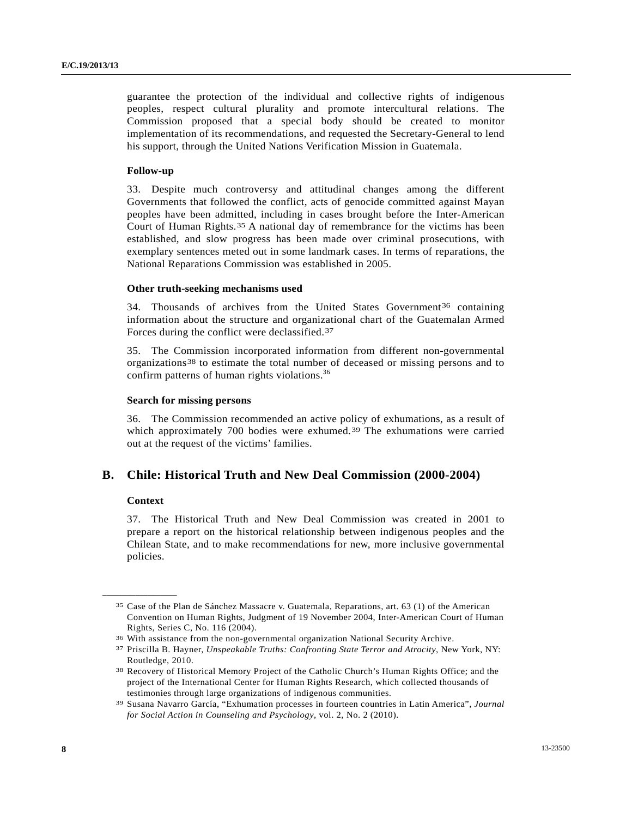<span id="page-7-4"></span>guarantee the protection of the individual and collective rights of indigenous peoples, respect cultural plurality and promote intercultural relations. The Commission proposed that a special body should be created to monitor implementation of its recommendations, and requested the Secretary-General to lend his support, through the United Nations Verification Mission in Guatemala.

### **Follow-up**

33. Despite much controversy and attitudinal changes among the different Governments that followed the conflict, acts of genocide committed against Mayan peoples have been admitted, including in cases brought before the Inter-American Court of Human Rights.[35](#page-7-0) A national day of remembrance for the victims has been established, and slow progress has been made over criminal prosecutions, with exemplary sentences meted out in some landmark cases. In terms of reparations, the National Reparations Commission was established in 2005.

### **Other truth-seeking mechanisms used**

34. Thousands of archives from the United States Government[3](#page-7-1)6 containing information about the structure and organizational chart of the Guatemalan Armed Forces during the conflict were declassified.[3](#page-7-2)7

35. The Commission incorporated information from different non-governmental organizations[38](#page-7-3) to estimate the total number of deceased or missing persons and to confirm patterns of human rights violations.<sup>[36](#page-7-4)</sup>

### **Search for missing persons**

36. The Commission recommended an active policy of exhumations, as a result of which approximately 700 bodies were exhumed.<sup>[39](#page-7-5)</sup> The exhumations were carried out at the request of the victims' families.

## **B. Chile: Historical Truth and New Deal Commission (2000-2004)**

### **Context**

<span id="page-7-1"></span><span id="page-7-0"></span>**\_\_\_\_\_\_\_\_\_\_\_\_\_\_\_\_\_\_** 

37. The Historical Truth and New Deal Commission was created in 2001 to prepare a report on the historical relationship between indigenous peoples and the Chilean State, and to make recommendations for new, more inclusive governmental policies.

<sup>35</sup> Case of the Plan de Sánchez Massacre v. Guatemala, Reparations, art. 63 (1) of the American Convention on Human Rights, Judgment of 19 November 2004, Inter-American Court of Human Rights, Series C, No. 116 (2004).

<span id="page-7-2"></span><sup>36</sup> With assistance from the non-governmental organization National Security Archive. 37 Priscilla B. Hayner, *Unspeakable Truths: Confronting State Terror and Atrocity*, New York, NY: Routledge, 2010.

<span id="page-7-3"></span><sup>38</sup> Recovery of Historical Memory Project of the Catholic Church's Human Rights Office; and the project of the International Center for Human Rights Research, which collected thousands of testimonies through large organizations of indigenous communities.

<span id="page-7-5"></span><sup>39</sup> Susana Navarro García, "Exhumation processes in fourteen countries in Latin America", *Journal for Social Action in Counseling and Psychology*, vol. 2, No. 2 (2010).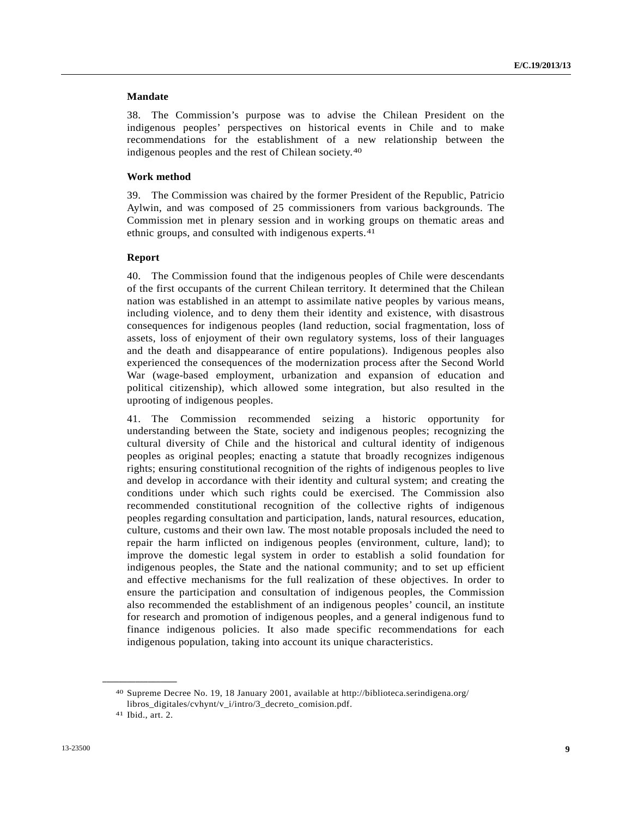### **Mandate**

38. The Commission's purpose was to advise the Chilean President on the indigenous peoples' perspectives on historical events in Chile and to make recommendations for the establishment of a new relationship between the indigenous peoples and the rest of Chilean society.[40](#page-8-0)

### **Work method**

39. The Commission was chaired by the former President of the Republic, Patricio Aylwin, and was composed of 25 commissioners from various backgrounds. The Commission met in plenary session and in working groups on thematic areas and ethnic groups, and consulted with indigenous experts.<sup>[41](#page-8-1)</sup>

### **Report**

40. The Commission found that the indigenous peoples of Chile were descendants of the first occupants of the current Chilean territory. It determined that the Chilean nation was established in an attempt to assimilate native peoples by various means, including violence, and to deny them their identity and existence, with disastrous consequences for indigenous peoples (land reduction, social fragmentation, loss of assets, loss of enjoyment of their own regulatory systems, loss of their languages and the death and disappearance of entire populations). Indigenous peoples also experienced the consequences of the modernization process after the Second World War (wage-based employment, urbanization and expansion of education and political citizenship), which allowed some integration, but also resulted in the uprooting of indigenous peoples.

41. The Commission recommended seizing a historic opportunity for understanding between the State, society and indigenous peoples; recognizing the cultural diversity of Chile and the historical and cultural identity of indigenous peoples as original peoples; enacting a statute that broadly recognizes indigenous rights; ensuring constitutional recognition of the rights of indigenous peoples to live and develop in accordance with their identity and cultural system; and creating the conditions under which such rights could be exercised. The Commission also recommended constitutional recognition of the collective rights of indigenous peoples regarding consultation and participation, lands, natural resources, education, culture, customs and their own law. The most notable proposals included the need to repair the harm inflicted on indigenous peoples (environment, culture, land); to improve the domestic legal system in order to establish a solid foundation for indigenous peoples, the State and the national community; and to set up efficient and effective mechanisms for the full realization of these objectives. In order to ensure the participation and consultation of indigenous peoples, the Commission also recommended the establishment of an indigenous peoples' council, an institute for research and promotion of indigenous peoples, and a general indigenous fund to finance indigenous policies. It also made specific recommendations for each indigenous population, taking into account its unique characteristics.

<span id="page-8-0"></span><sup>40</sup> Supreme Decree No. 19, 18 January 2001, available at http://biblioteca.serindigena.org/ libros\_digitales/cvhynt/v\_i/intro/3\_decreto\_comision.pdf.

<span id="page-8-1"></span><sup>41</sup> Ibid., art. 2.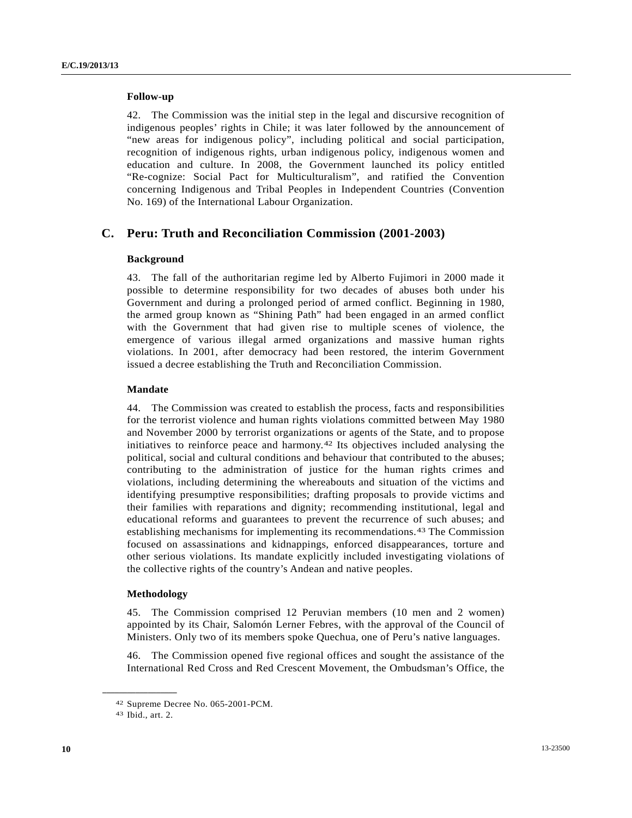### **Follow-up**

42. The Commission was the initial step in the legal and discursive recognition of indigenous peoples' rights in Chile; it was later followed by the announcement of "new areas for indigenous policy", including political and social participation, recognition of indigenous rights, urban indigenous policy, indigenous women and education and culture. In 2008, the Government launched its policy entitled "Re-cognize: Social Pact for Multiculturalism", and ratified the Convention concerning Indigenous and Tribal Peoples in Independent Countries (Convention No. 169) of the International Labour Organization.

## **C. Peru: Truth and Reconciliation Commission (2001-2003)**

### **Background**

43. The fall of the authoritarian regime led by Alberto Fujimori in 2000 made it possible to determine responsibility for two decades of abuses both under his Government and during a prolonged period of armed conflict. Beginning in 1980, the armed group known as "Shining Path" had been engaged in an armed conflict with the Government that had given rise to multiple scenes of violence, the emergence of various illegal armed organizations and massive human rights violations. In 2001, after democracy had been restored, the interim Government issued a decree establishing the Truth and Reconciliation Commission.

### **Mandate**

44. The Commission was created to establish the process, facts and responsibilities for the terrorist violence and human rights violations committed between May 1980 and November 2000 by terrorist organizations or agents of the State, and to propose initiatives to reinforce peace and harmony.[4](#page-9-0)2 Its objectives included analysing the political, social and cultural conditions and behaviour that contributed to the abuses; contributing to the administration of justice for the human rights crimes and violations, including determining the whereabouts and situation of the victims and identifying presumptive responsibilities; drafting proposals to provide victims and their families with reparations and dignity; recommending institutional, legal and educational reforms and guarantees to prevent the recurrence of such abuses; and establishing mechanisms for implementing its recommendations.[4](#page-9-1)3 The Commission focused on assassinations and kidnappings, enforced disappearances, torture and other serious violations. Its mandate explicitly included investigating violations of the collective rights of the country's Andean and native peoples.

### **Methodology**

45. The Commission comprised 12 Peruvian members (10 men and 2 women) appointed by its Chair, Salomón Lerner Febres, with the approval of the Council of Ministers. Only two of its members spoke Quechua, one of Peru's native languages.

46. The Commission opened five regional offices and sought the assistance of the International Red Cross and Red Crescent Movement, the Ombudsman's Office, the

<span id="page-9-0"></span><sup>42</sup> Supreme Decree No. 065-2001-PCM.

<span id="page-9-1"></span><sup>43</sup> Ibid., art. 2.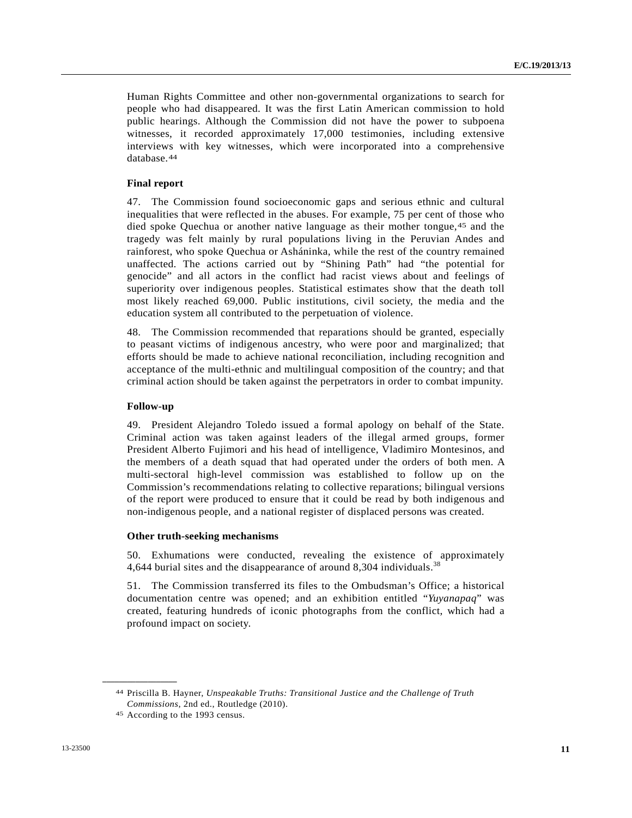Human Rights Committee and other non-governmental organizations to search for people who had disappeared. It was the first Latin American commission to hold public hearings. Although the Commission did not have the power to subpoena witnesses, it recorded approximately 17,000 testimonies, including extensive interviews with key witnesses, which were incorporated into a comprehensive database.[44](#page-10-0)

### **Final report**

47. The Commission found socioeconomic gaps and serious ethnic and cultural inequalities that were reflected in the abuses. For example, 75 per cent of those who died spoke Quechua or another native language as their mother tongue,[45](#page-10-1) and the tragedy was felt mainly by rural populations living in the Peruvian Andes and rainforest, who spoke Quechua or Asháninka, while the rest of the country remained unaffected. The actions carried out by "Shining Path" had "the potential for genocide" and all actors in the conflict had racist views about and feelings of superiority over indigenous peoples. Statistical estimates show that the death toll most likely reached 69,000. Public institutions, civil society, the media and the education system all contributed to the perpetuation of violence.

48. The Commission recommended that reparations should be granted, especially to peasant victims of indigenous ancestry, who were poor and marginalized; that efforts should be made to achieve national reconciliation, including recognition and acceptance of the multi-ethnic and multilingual composition of the country; and that criminal action should be taken against the perpetrators in order to combat impunity.

#### **Follow-up**

49. President Alejandro Toledo issued a formal apology on behalf of the State. Criminal action was taken against leaders of the illegal armed groups, former President Alberto Fujimori and his head of intelligence, Vladimiro Montesinos, and the members of a death squad that had operated under the orders of both men. A multi-sectoral high-level commission was established to follow up on the Commission's recommendations relating to collective reparations; bilingual versions of the report were produced to ensure that it could be read by both indigenous and non-indigenous people, and a national register of displaced persons was created.

#### **Other truth-seeking mechanisms**

50. Exhumations were conducted, revealing the existence of approximately 4,644 burial sites and the disappearance of around 8,304 individuals.<sup>38</sup>

51. The Commission transferred its files to the Ombudsman's Office; a historical documentation centre was opened; and an exhibition entitled "*Yuyanapaq*" was created, featuring hundreds of iconic photographs from the conflict, which had a profound impact on society.

<span id="page-10-1"></span><span id="page-10-0"></span><sup>44</sup> Priscilla B. Hayner, *Unspeakable Truths: Transitional Justice and the Challenge of Truth Commissions*, 2nd ed., Routledge (2010). 45 According to the 1993 census.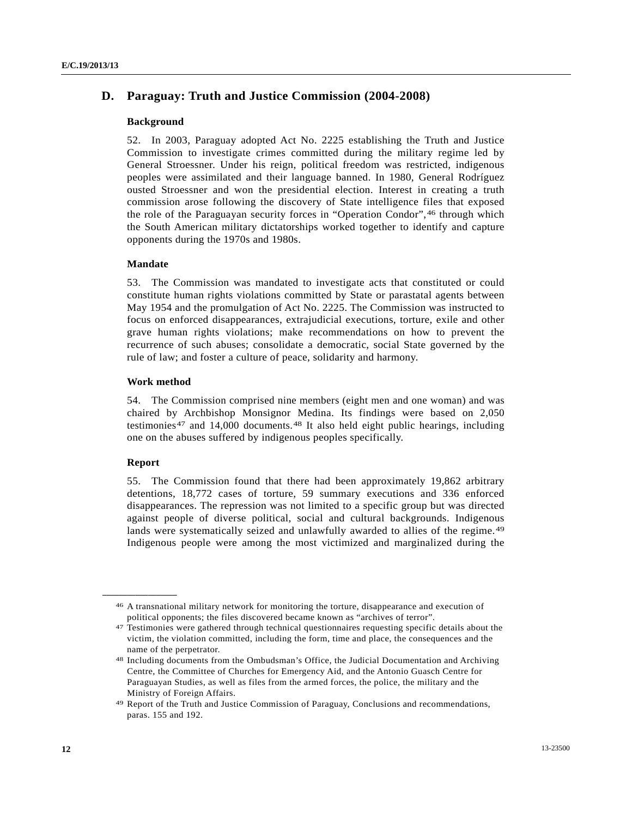# **D. Paraguay: Truth and Justice Commission (2004-2008)**

### **Background**

52. In 2003, Paraguay adopted Act No. 2225 establishing the Truth and Justice Commission to investigate crimes committed during the military regime led by General Stroessner. Under his reign, political freedom was restricted, indigenous peoples were assimilated and their language banned. In 1980, General Rodríguez ousted Stroessner and won the presidential election. Interest in creating a truth commission arose following the discovery of State intelligence files that exposed the role of the Paraguayan security forces in "Operation Condor",[4](#page-11-0)6 through which the South American military dictatorships worked together to identify and capture opponents during the 1970s and 1980s.

### **Mandate**

53. The Commission was mandated to investigate acts that constituted or could constitute human rights violations committed by State or parastatal agents between May 1954 and the promulgation of Act No. 2225. The Commission was instructed to focus on enforced disappearances, extrajudicial executions, torture, exile and other grave human rights violations; make recommendations on how to prevent the recurrence of such abuses; consolidate a democratic, social State governed by the rule of law; and foster a culture of peace, solidarity and harmony.

### **Work method**

54. The Commission comprised nine members (eight men and one woman) and was chaired by Archbishop Monsignor Medina. Its findings were based on 2,050 testimonies[47](#page-11-1) and 14,000 documents.[48](#page-11-2) It also held eight public hearings, including one on the abuses suffered by indigenous peoples specifically.

### **Report**

<span id="page-11-1"></span><span id="page-11-0"></span>**\_\_\_\_\_\_\_\_\_\_\_\_\_\_\_\_\_\_** 

55. The Commission found that there had been approximately 19,862 arbitrary detentions, 18,772 cases of torture, 59 summary executions and 336 enforced disappearances. The repression was not limited to a specific group but was directed against people of diverse political, social and cultural backgrounds. Indigenous lands were systematically seized and unlawfully awarded to allies of the regime.<sup>[49](#page-11-3)</sup> Indigenous people were among the most victimized and marginalized during the

<sup>46</sup> A transnational military network for monitoring the torture, disappearance and execution of political opponents; the files discovered became known as "archives of terror".

<sup>47</sup> Testimonies were gathered through technical questionnaires requesting specific details about the victim, the violation committed, including the form, time and place, the consequences and the name of the perpetrator.

<span id="page-11-2"></span><sup>48</sup> Including documents from the Ombudsman's Office, the Judicial Documentation and Archiving Centre, the Committee of Churches for Emergency Aid, and the Antonio Guasch Centre for Paraguayan Studies, as well as files from the armed forces, the police, the military and the Ministry of Foreign Affairs.

<span id="page-11-3"></span><sup>49</sup> Report of the Truth and Justice Commission of Paraguay, Conclusions and recommendations, paras. 155 and 192.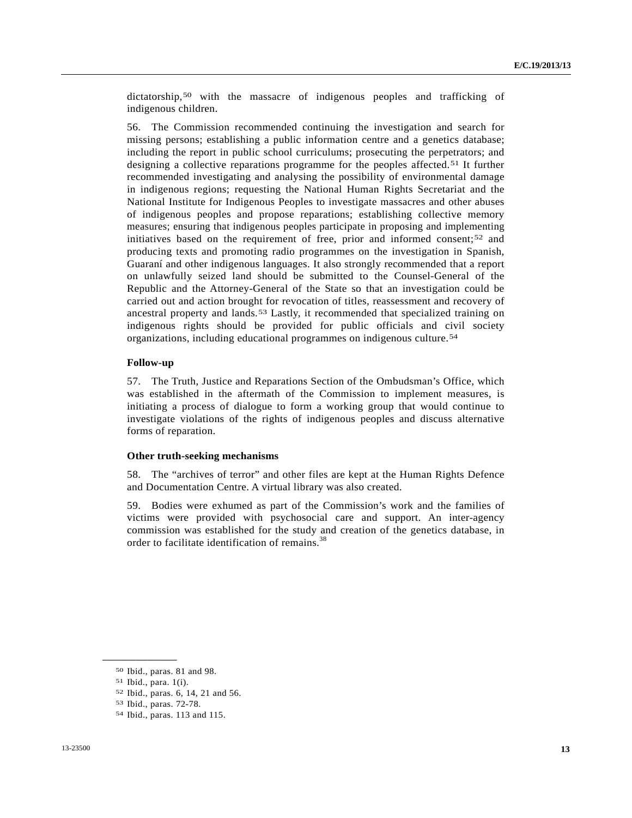dictatorship,<sup>[50](#page-12-0)</sup> with the massacre of indigenous peoples and trafficking of indigenous children.

56. The Commission recommended continuing the investigation and search for missing persons; establishing a public information centre and a genetics database; including the report in public school curriculums; prosecuting the perpetrators; and designing a collective reparations programme for the peoples affected.[51](#page-12-1) It further recommended investigating and analysing the possibility of environmental damage in indigenous regions; requesting the National Human Rights Secretariat and the National Institute for Indigenous Peoples to investigate massacres and other abuses of indigenous peoples and propose reparations; establishing collective memory measures; ensuring that indigenous peoples participate in proposing and implementing initiatives based on the requirement of free, prior and informed consent;[52](#page-12-2) and producing texts and promoting radio programmes on the investigation in Spanish, Guaraní and other indigenous languages. It also strongly recommended that a report on unlawfully seized land should be submitted to the Counsel-General of the Republic and the Attorney-General of the State so that an investigation could be carried out and action brought for revocation of titles, reassessment and recovery of ancestral property and lands.[53](#page-12-3) Lastly, it recommended that specialized training on indigenous rights should be provided for public officials and civil society organizations, including educational programmes on indigenous culture.[54](#page-12-4)

### **Follow-up**

57. The Truth, Justice and Reparations Section of the Ombudsman's Office, which was established in the aftermath of the Commission to implement measures, is initiating a process of dialogue to form a working group that would continue to investigate violations of the rights of indigenous peoples and discuss alternative forms of reparation.

### **Other truth-seeking mechanisms**

58. The "archives of terror" and other files are kept at the Human Rights Defence and Documentation Centre. A virtual library was also created.

59. Bodies were exhumed as part of the Commission's work and the families of victims were provided with psychosocial care and support. An inter-agency commission was established for the study and creation of the genetics database, in order to facilitate identification of remains.<sup>38</sup>

<span id="page-12-0"></span><sup>50</sup> Ibid., paras. 81 and 98.

<span id="page-12-1"></span><sup>51</sup> Ibid., para. 1(i).

<span id="page-12-2"></span><sup>52</sup> Ibid., paras. 6, 14, 21 and 56.

<span id="page-12-3"></span><sup>53</sup> Ibid., paras. 72-78.

<span id="page-12-4"></span><sup>54</sup> Ibid., paras. 113 and 115.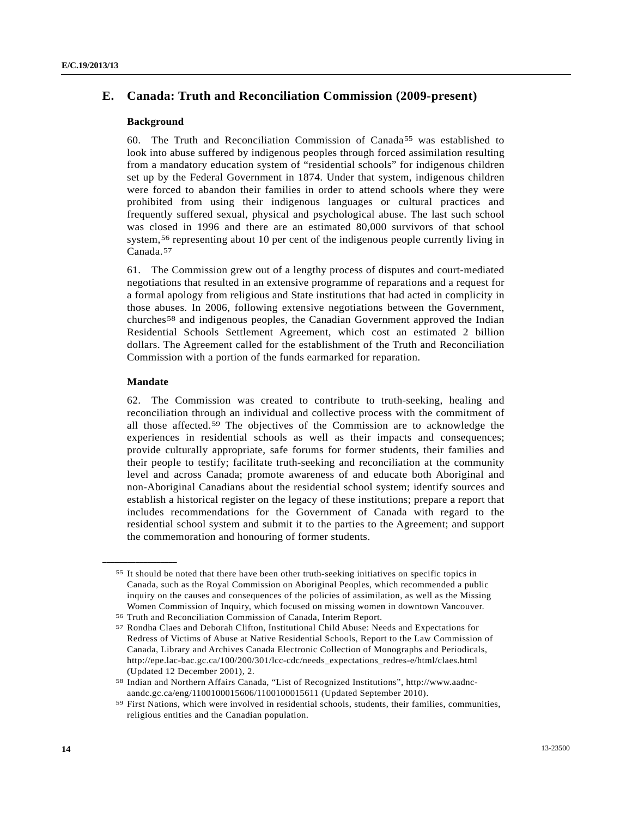# **E. Canada: Truth and Reconciliation Commission (2009-present)**

### **Background**

60. The Truth and Reconciliation Commission of Canada<sup>[55](#page-13-0)</sup> was established to look into abuse suffered by indigenous peoples through forced assimilation resulting from a mandatory education system of "residential schools" for indigenous children set up by the Federal Government in 1874. Under that system, indigenous children were forced to abandon their families in order to attend schools where they were prohibited from using their indigenous languages or cultural practices and frequently suffered sexual, physical and psychological abuse. The last such school was closed in 1996 and there are an estimated 80,000 survivors of that school system,<sup>[5](#page-13-1)6</sup> representing about 10 per cent of the indigenous people currently living in Canada.[57](#page-13-2)

61. The Commission grew out of a lengthy process of disputes and court-mediated negotiations that resulted in an extensive programme of reparations and a request for a formal apology from religious and State institutions that had acted in complicity in those abuses. In 2006, following extensive negotiations between the Government, churches[58](#page-13-3) and indigenous peoples, the Canadian Government approved the Indian Residential Schools Settlement Agreement, which cost an estimated 2 billion dollars. The Agreement called for the establishment of the Truth and Reconciliation Commission with a portion of the funds earmarked for reparation.

### **Mandate**

<span id="page-13-0"></span>**\_\_\_\_\_\_\_\_\_\_\_\_\_\_\_\_\_\_** 

62. The Commission was created to contribute to truth-seeking, healing and reconciliation through an individual and collective process with the commitment of all those affected.[5](#page-13-4)9 The objectives of the Commission are to acknowledge the experiences in residential schools as well as their impacts and consequences; provide culturally appropriate, safe forums for former students, their families and their people to testify; facilitate truth-seeking and reconciliation at the community level and across Canada; promote awareness of and educate both Aboriginal and non-Aboriginal Canadians about the residential school system; identify sources and establish a historical register on the legacy of these institutions; prepare a report that includes recommendations for the Government of Canada with regard to the residential school system and submit it to the parties to the Agreement; and support the commemoration and honouring of former students.

<sup>55</sup> It should be noted that there have been other truth-seeking initiatives on specific topics in Canada, such as the Royal Commission on Aboriginal Peoples, which recommended a public inquiry on the causes and consequences of the policies of assimilation, as well as the Missing Women Commission of Inquiry, which focused on missing women in downtown Vancouver.

<span id="page-13-2"></span><span id="page-13-1"></span>

<sup>56</sup> Truth and Reconciliation Commission of Canada, Interim Report. 57 Rondha Claes and Deborah Clifton, Institutional Child Abuse: Needs and Expectations for Redress of Victims of Abuse at Native Residential Schools, Report to the Law Commission of Canada, Library and Archives Canada Electronic Collection of Monographs and Periodicals, http://epe.lac-bac.gc.ca/100/200/301/lcc-cdc/needs\_expectations\_redres-e/html/claes.html (Updated 12 December 2001), 2.

<span id="page-13-3"></span><sup>58</sup> Indian and Northern Affairs Canada, "List of Recognized Institutions", http://www.aadncaandc.gc.ca/eng/1100100015606/1100100015611 (Updated September 2010).

<span id="page-13-4"></span><sup>59</sup> First Nations, which were involved in residential schools, students, their families, communities, religious entities and the Canadian population.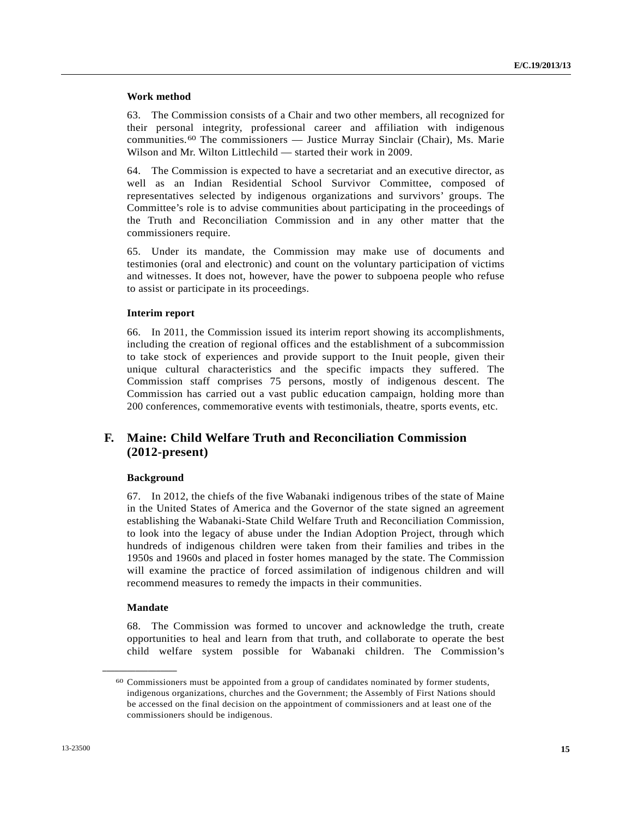### **Work method**

63. The Commission consists of a Chair and two other members, all recognized for their personal integrity, professional career and affiliation with indigenous communities.[60](#page-14-0) The commissioners — Justice Murray Sinclair (Chair), Ms. Marie Wilson and Mr. Wilton Littlechild — started their work in 2009.

64. The Commission is expected to have a secretariat and an executive director, as well as an Indian Residential School Survivor Committee, composed of representatives selected by indigenous organizations and survivors' groups. The Committee's role is to advise communities about participating in the proceedings of the Truth and Reconciliation Commission and in any other matter that the commissioners require.

65. Under its mandate, the Commission may make use of documents and testimonies (oral and electronic) and count on the voluntary participation of victims and witnesses. It does not, however, have the power to subpoena people who refuse to assist or participate in its proceedings.

### **Interim report**

66. In 2011, the Commission issued its interim report showing its accomplishments, including the creation of regional offices and the establishment of a subcommission to take stock of experiences and provide support to the Inuit people, given their unique cultural characteristics and the specific impacts they suffered. The Commission staff comprises 75 persons, mostly of indigenous descent. The Commission has carried out a vast public education campaign, holding more than 200 conferences, commemorative events with testimonials, theatre, sports events, etc.

# **F. Maine: Child Welfare Truth and Reconciliation Commission (2012-present)**

### **Background**

67. In 2012, the chiefs of the five Wabanaki indigenous tribes of the state of Maine in the United States of America and the Governor of the state signed an agreement establishing the Wabanaki-State Child Welfare Truth and Reconciliation Commission, to look into the legacy of abuse under the Indian Adoption Project, through which hundreds of indigenous children were taken from their families and tribes in the 1950s and 1960s and placed in foster homes managed by the state. The Commission will examine the practice of forced assimilation of indigenous children and will recommend measures to remedy the impacts in their communities.

### **Mandate**

<span id="page-14-0"></span>**\_\_\_\_\_\_\_\_\_\_\_\_\_\_\_\_\_\_** 

68. The Commission was formed to uncover and acknowledge the truth, create opportunities to heal and learn from that truth, and collaborate to operate the best child welfare system possible for Wabanaki children. The Commission's

<sup>60</sup> Commissioners must be appointed from a group of candidates nominated by former students, indigenous organizations, churches and the Government; the Assembly of First Nations should be accessed on the final decision on the appointment of commissioners and at least one of the commissioners should be indigenous.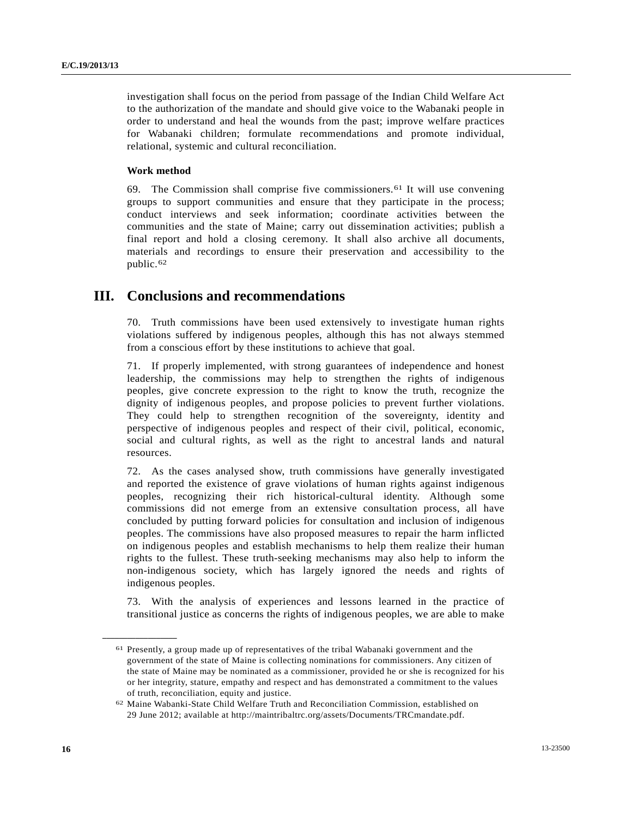investigation shall focus on the period from passage of the Indian Child Welfare Act to the authorization of the mandate and should give voice to the Wabanaki people in order to understand and heal the wounds from the past; improve welfare practices for Wabanaki children; formulate recommendations and promote individual, relational, systemic and cultural reconciliation.

### **Work method**

69. The Commission shall comprise five commissioners.<sup>[61](#page-15-0)</sup> It will use convening groups to support communities and ensure that they participate in the process; conduct interviews and seek information; coordinate activities between the communities and the state of Maine; carry out dissemination activities; publish a final report and hold a closing ceremony. It shall also archive all documents, materials and recordings to ensure their preservation and accessibility to the public.[62](#page-15-1)

# **III. Conclusions and recommendations**

70. Truth commissions have been used extensively to investigate human rights violations suffered by indigenous peoples, although this has not always stemmed from a conscious effort by these institutions to achieve that goal.

71. If properly implemented, with strong guarantees of independence and honest leadership, the commissions may help to strengthen the rights of indigenous peoples, give concrete expression to the right to know the truth, recognize the dignity of indigenous peoples, and propose policies to prevent further violations. They could help to strengthen recognition of the sovereignty, identity and perspective of indigenous peoples and respect of their civil, political, economic, social and cultural rights, as well as the right to ancestral lands and natural resources.

72. As the cases analysed show, truth commissions have generally investigated and reported the existence of grave violations of human rights against indigenous peoples, recognizing their rich historical-cultural identity. Although some commissions did not emerge from an extensive consultation process, all have concluded by putting forward policies for consultation and inclusion of indigenous peoples. The commissions have also proposed measures to repair the harm inflicted on indigenous peoples and establish mechanisms to help them realize their human rights to the fullest. These truth-seeking mechanisms may also help to inform the non-indigenous society, which has largely ignored the needs and rights of indigenous peoples.

73. With the analysis of experiences and lessons learned in the practice of transitional justice as concerns the rights of indigenous peoples, we are able to make

<span id="page-15-0"></span><sup>61</sup> Presently, a group made up of representatives of the tribal Wabanaki government and the government of the state of Maine is collecting nominations for commissioners. Any citizen of the state of Maine may be nominated as a commissioner, provided he or she is recognized for his or her integrity, stature, empathy and respect and has demonstrated a commitment to the values of truth, reconciliation, equity and justice.

<span id="page-15-1"></span><sup>62</sup> Maine Wabanki-State Child Welfare Truth and Reconciliation Commission, established on 29 June 2012; available at http://maintribaltrc.org/assets/Documents/TRCmandate.pdf.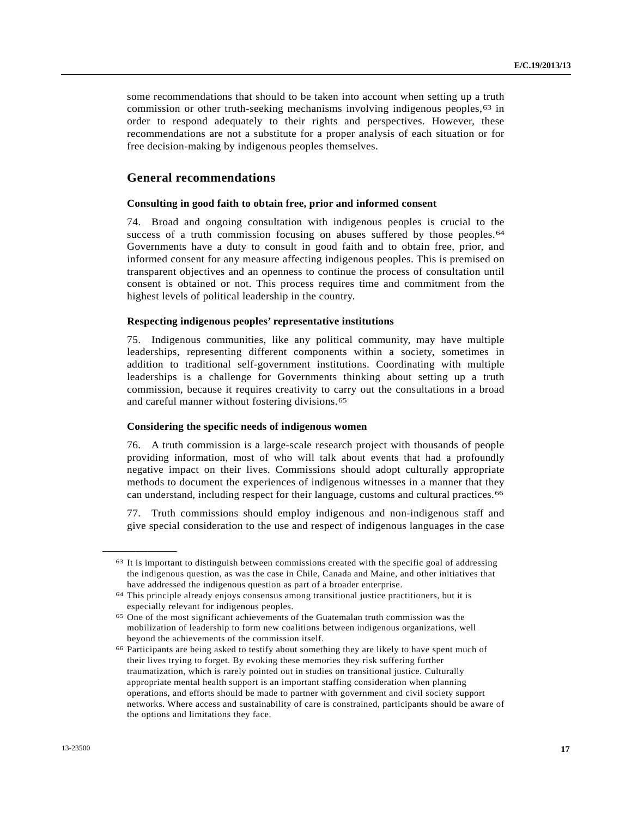some recommendations that should to be taken into account when setting up a truth commission or other truth-seeking mechanisms involving indigenous peoples,  $63$  $63$  in order to respond adequately to their rights and perspectives. However, these recommendations are not a substitute for a proper analysis of each situation or for free decision-making by indigenous peoples themselves.

### **General recommendations**

#### **Consulting in good faith to obtain free, prior and informed consent**

74. Broad and ongoing consultation with indigenous peoples is crucial to the success of a truth commission focusing on abuses suffered by those peoples.<sup>[64](#page-16-1)</sup> Governments have a duty to consult in good faith and to obtain free, prior, and informed consent for any measure affecting indigenous peoples. This is premised on transparent objectives and an openness to continue the process of consultation until consent is obtained or not. This process requires time and commitment from the highest levels of political leadership in the country.

#### **Respecting indigenous peoples' representative institutions**

75. Indigenous communities, like any political community, may have multiple leaderships, representing different components within a society, sometimes in addition to traditional self-government institutions. Coordinating with multiple leaderships is a challenge for Governments thinking about setting up a truth commission, because it requires creativity to carry out the consultations in a broad and careful manner without fostering divisions.[6](#page-16-2)5

### **Considering the specific needs of indigenous women**

76. A truth commission is a large-scale research project with thousands of people providing information, most of who will talk about events that had a profoundly negative impact on their lives. Commissions should adopt culturally appropriate methods to document the experiences of indigenous witnesses in a manner that they can understand, including respect for their language, customs and cultural practices.[66](#page-16-3)

77. Truth commissions should employ indigenous and non-indigenous staff and give special consideration to the use and respect of indigenous languages in the case

<span id="page-16-0"></span><sup>63</sup> It is important to distinguish between commissions created with the specific goal of addressing the indigenous question, as was the case in Chile, Canada and Maine, and other initiatives that have addressed the indigenous question as part of a broader enterprise.

<span id="page-16-1"></span><sup>64</sup> This principle already enjoys consensus among transitional justice practitioners, but it is especially relevant for indigenous peoples.

<span id="page-16-2"></span><sup>65</sup> One of the most significant achievements of the Guatemalan truth commission was the mobilization of leadership to form new coalitions between indigenous organizations, well beyond the achievements of the commission itself.

<span id="page-16-3"></span><sup>66</sup> Participants are being asked to testify about something they are likely to have spent much of their lives trying to forget. By evoking these memories they risk suffering further traumatization, which is rarely pointed out in studies on transitional justice. Culturally appropriate mental health support is an important staffing consideration when planning operations, and efforts should be made to partner with government and civil society support networks. Where access and sustainability of care is constrained, participants should be aware of the options and limitations they face.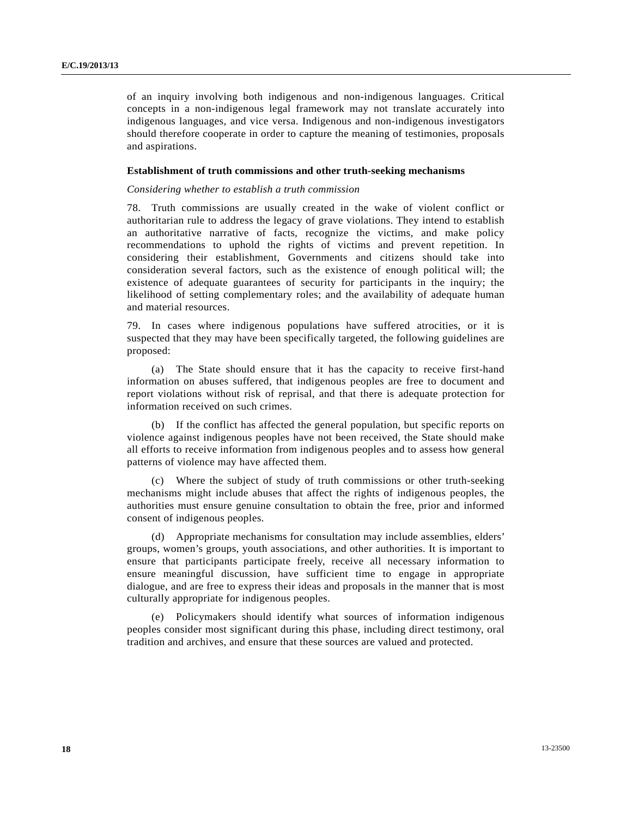of an inquiry involving both indigenous and non-indigenous languages. Critical concepts in a non-indigenous legal framework may not translate accurately into indigenous languages, and vice versa. Indigenous and non-indigenous investigators should therefore cooperate in order to capture the meaning of testimonies, proposals and aspirations.

### **Establishment of truth commissions and other truth-seeking mechanisms**

#### *Considering whether to establish a truth commission*

78. Truth commissions are usually created in the wake of violent conflict or authoritarian rule to address the legacy of grave violations. They intend to establish an authoritative narrative of facts, recognize the victims, and make policy recommendations to uphold the rights of victims and prevent repetition. In considering their establishment, Governments and citizens should take into consideration several factors, such as the existence of enough political will; the existence of adequate guarantees of security for participants in the inquiry; the likelihood of setting complementary roles; and the availability of adequate human and material resources.

79. In cases where indigenous populations have suffered atrocities, or it is suspected that they may have been specifically targeted, the following guidelines are proposed:

 (a) The State should ensure that it has the capacity to receive first-hand information on abuses suffered, that indigenous peoples are free to document and report violations without risk of reprisal, and that there is adequate protection for information received on such crimes.

 (b) If the conflict has affected the general population, but specific reports on violence against indigenous peoples have not been received, the State should make all efforts to receive information from indigenous peoples and to assess how general patterns of violence may have affected them.

 (c) Where the subject of study of truth commissions or other truth-seeking mechanisms might include abuses that affect the rights of indigenous peoples, the authorities must ensure genuine consultation to obtain the free, prior and informed consent of indigenous peoples.

 (d) Appropriate mechanisms for consultation may include assemblies, elders' groups, women's groups, youth associations, and other authorities. It is important to ensure that participants participate freely, receive all necessary information to ensure meaningful discussion, have sufficient time to engage in appropriate dialogue, and are free to express their ideas and proposals in the manner that is most culturally appropriate for indigenous peoples.

 (e) Policymakers should identify what sources of information indigenous peoples consider most significant during this phase, including direct testimony, oral tradition and archives, and ensure that these sources are valued and protected.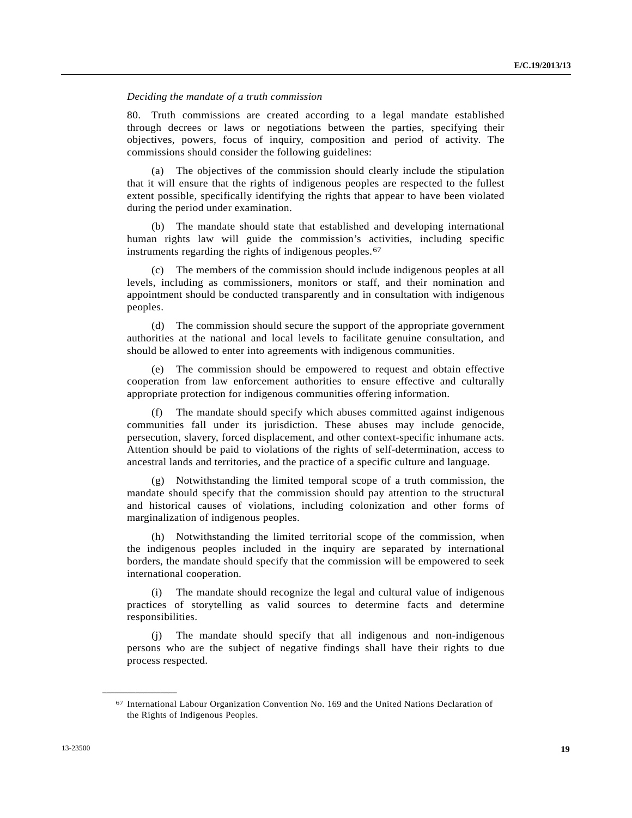### *Deciding the mandate of a truth commission*

80. Truth commissions are created according to a legal mandate established through decrees or laws or negotiations between the parties, specifying their objectives, powers, focus of inquiry, composition and period of activity. The commissions should consider the following guidelines:

 (a) The objectives of the commission should clearly include the stipulation that it will ensure that the rights of indigenous peoples are respected to the fullest extent possible, specifically identifying the rights that appear to have been violated during the period under examination.

 (b) The mandate should state that established and developing international human rights law will guide the commission's activities, including specific instruments regarding the rights of indigenous peoples.<sup>[6](#page-18-0)7</sup>

 (c) The members of the commission should include indigenous peoples at all levels, including as commissioners, monitors or staff, and their nomination and appointment should be conducted transparently and in consultation with indigenous peoples.

 (d) The commission should secure the support of the appropriate government authorities at the national and local levels to facilitate genuine consultation, and should be allowed to enter into agreements with indigenous communities.

 (e) The commission should be empowered to request and obtain effective cooperation from law enforcement authorities to ensure effective and culturally appropriate protection for indigenous communities offering information.

 (f) The mandate should specify which abuses committed against indigenous communities fall under its jurisdiction. These abuses may include genocide, persecution, slavery, forced displacement, and other context-specific inhumane acts. Attention should be paid to violations of the rights of self-determination, access to ancestral lands and territories, and the practice of a specific culture and language.

 (g) Notwithstanding the limited temporal scope of a truth commission, the mandate should specify that the commission should pay attention to the structural and historical causes of violations, including colonization and other forms of marginalization of indigenous peoples.

 (h) Notwithstanding the limited territorial scope of the commission, when the indigenous peoples included in the inquiry are separated by international borders, the mandate should specify that the commission will be empowered to seek international cooperation.

 (i) The mandate should recognize the legal and cultural value of indigenous practices of storytelling as valid sources to determine facts and determine responsibilities.

The mandate should specify that all indigenous and non-indigenous persons who are the subject of negative findings shall have their rights to due process respected.

<span id="page-18-0"></span><sup>67</sup> International Labour Organization Convention No. 169 and the United Nations Declaration of the Rights of Indigenous Peoples.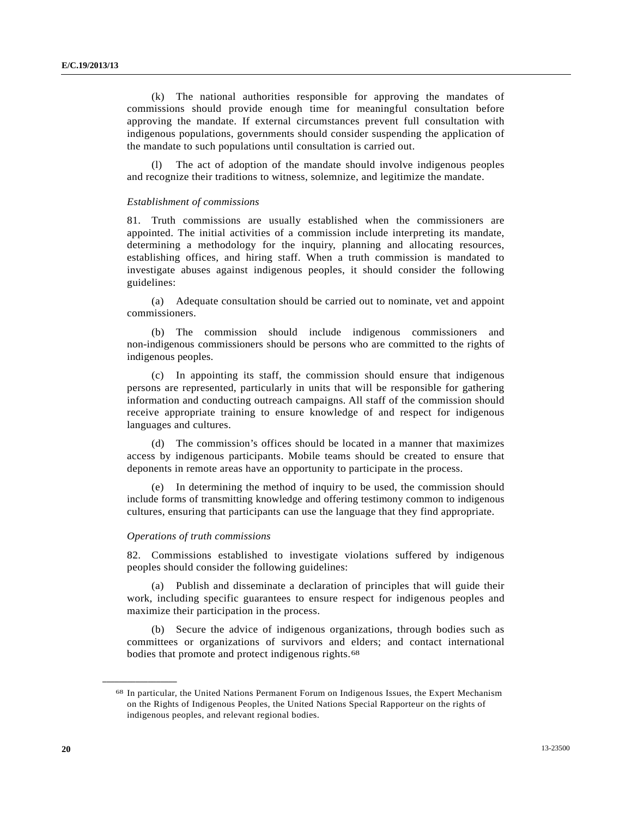(k) The national authorities responsible for approving the mandates of commissions should provide enough time for meaningful consultation before approving the mandate. If external circumstances prevent full consultation with indigenous populations, governments should consider suspending the application of the mandate to such populations until consultation is carried out.

 (l) The act of adoption of the mandate should involve indigenous peoples and recognize their traditions to witness, solemnize, and legitimize the mandate.

### *Establishment of commissions*

81. Truth commissions are usually established when the commissioners are appointed. The initial activities of a commission include interpreting its mandate, determining a methodology for the inquiry, planning and allocating resources, establishing offices, and hiring staff. When a truth commission is mandated to investigate abuses against indigenous peoples, it should consider the following guidelines:

 (a) Adequate consultation should be carried out to nominate, vet and appoint commissioners.

 (b) The commission should include indigenous commissioners and non-indigenous commissioners should be persons who are committed to the rights of indigenous peoples.

 (c) In appointing its staff, the commission should ensure that indigenous persons are represented, particularly in units that will be responsible for gathering information and conducting outreach campaigns. All staff of the commission should receive appropriate training to ensure knowledge of and respect for indigenous languages and cultures.

 (d) The commission's offices should be located in a manner that maximizes access by indigenous participants. Mobile teams should be created to ensure that deponents in remote areas have an opportunity to participate in the process.

 (e) In determining the method of inquiry to be used, the commission should include forms of transmitting knowledge and offering testimony common to indigenous cultures, ensuring that participants can use the language that they find appropriate.

#### *Operations of truth commissions*

<span id="page-19-0"></span>**\_\_\_\_\_\_\_\_\_\_\_\_\_\_\_\_\_\_** 

82. Commissions established to investigate violations suffered by indigenous peoples should consider the following guidelines:

 (a) Publish and disseminate a declaration of principles that will guide their work, including specific guarantees to ensure respect for indigenous peoples and maximize their participation in the process.

 (b) Secure the advice of indigenous organizations, through bodies such as committees or organizations of survivors and elders; and contact international bodies that promote and protect indigenous rights.<sup>[6](#page-19-0)8</sup>

<sup>68</sup> In particular, the United Nations Permanent Forum on Indigenous Issues, the Expert Mechanism on the Rights of Indigenous Peoples, the United Nations Special Rapporteur on the rights of indigenous peoples, and relevant regional bodies.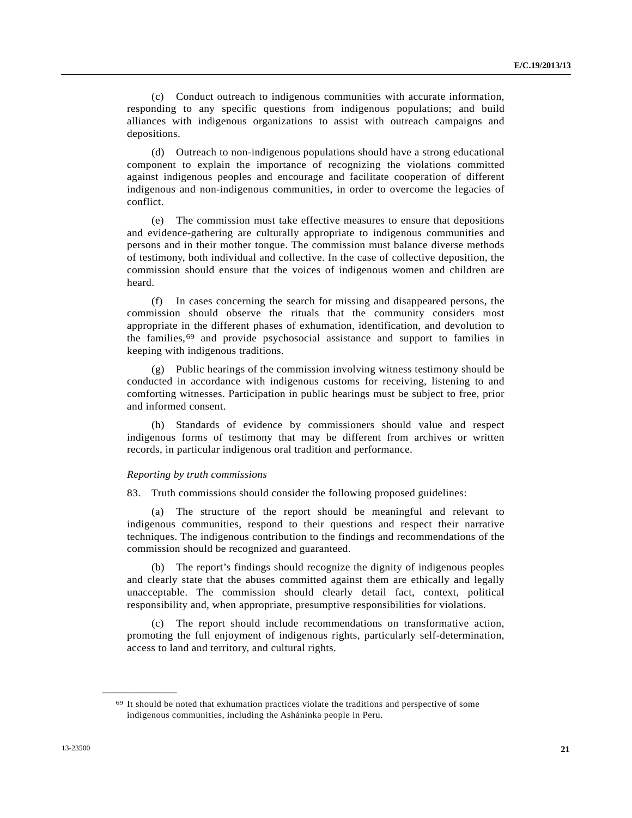(c) Conduct outreach to indigenous communities with accurate information, responding to any specific questions from indigenous populations; and build alliances with indigenous organizations to assist with outreach campaigns and depositions.

 (d) Outreach to non-indigenous populations should have a strong educational component to explain the importance of recognizing the violations committed against indigenous peoples and encourage and facilitate cooperation of different indigenous and non-indigenous communities, in order to overcome the legacies of conflict.

 (e) The commission must take effective measures to ensure that depositions and evidence-gathering are culturally appropriate to indigenous communities and persons and in their mother tongue. The commission must balance diverse methods of testimony, both individual and collective. In the case of collective deposition, the commission should ensure that the voices of indigenous women and children are heard.

 (f) In cases concerning the search for missing and disappeared persons, the commission should observe the rituals that the community considers most appropriate in the different phases of exhumation, identification, and devolution to the families,[6](#page-20-0)9 and provide psychosocial assistance and support to families in keeping with indigenous traditions.

 (g) Public hearings of the commission involving witness testimony should be conducted in accordance with indigenous customs for receiving, listening to and comforting witnesses. Participation in public hearings must be subject to free, prior and informed consent.

 (h) Standards of evidence by commissioners should value and respect indigenous forms of testimony that may be different from archives or written records, in particular indigenous oral tradition and performance.

### *Reporting by truth commissions*

83. Truth commissions should consider the following proposed guidelines:

 (a) The structure of the report should be meaningful and relevant to indigenous communities, respond to their questions and respect their narrative techniques. The indigenous contribution to the findings and recommendations of the commission should be recognized and guaranteed.

 (b) The report's findings should recognize the dignity of indigenous peoples and clearly state that the abuses committed against them are ethically and legally unacceptable. The commission should clearly detail fact, context, political responsibility and, when appropriate, presumptive responsibilities for violations.

 (c) The report should include recommendations on transformative action, promoting the full enjoyment of indigenous rights, particularly self-determination, access to land and territory, and cultural rights.

<span id="page-20-0"></span><sup>69</sup> It should be noted that exhumation practices violate the traditions and perspective of some indigenous communities, including the Asháninka people in Peru.